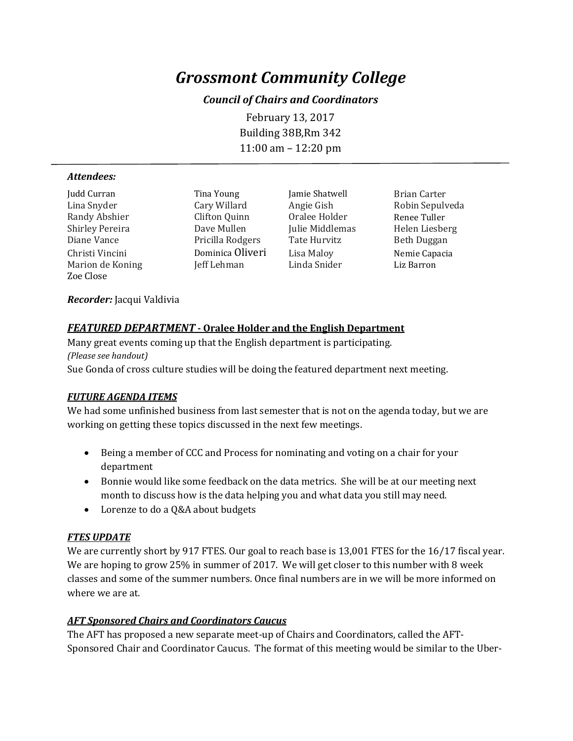# *Grossmont Community College*

### *Council of Chairs and Coordinators*

February 13, 2017 Building 38B,Rm 342 11:00 am – 12:20 pm

#### *Attendees:*

Judd Curran Tina Young Jamie Shatwell Brian Carter Randy Abshier Clifton Quinn Oralee Holder Renee Tuller Shirley Pereira Dave Mullen Julie Middlemas Helen Liesberg Diane Vance Pricilla Rodgers<br>Christi Vincini Dominica Oliveri Marion de Koning Zoe Close

Dominica Oliveri Lisa Maloy Nemie Capacia<br>
Linda Snider Liz Barron Liz Raron

Cary Willard Angie Gish Robin Sepulveda<br>Clifton Quinn Oralee Holder Renee Tuller

#### *Recorder:* Jacqui Valdivia

#### *FEATURED DEPARTMENT* **- Oralee Holder and the English Department**

Many great events coming up that the English department is participating. *(Please see handout)* Sue Gonda of cross culture studies will be doing the featured department next meeting.

#### *FUTURE AGENDA ITEMS*

We had some unfinished business from last semester that is not on the agenda today, but we are working on getting these topics discussed in the next few meetings.

- Being a member of CCC and Process for nominating and voting on a chair for your department
- Bonnie would like some feedback on the data metrics. She will be at our meeting next month to discuss how is the data helping you and what data you still may need.
- Lorenze to do a Q&A about budgets

#### *FTES UPDATE*

We are currently short by 917 FTES. Our goal to reach base is 13,001 FTES for the 16/17 fiscal year. We are hoping to grow 25% in summer of 2017. We will get closer to this number with 8 week classes and some of the summer numbers. Once final numbers are in we will be more informed on where we are at.

#### *AFT Sponsored Chairs and Coordinators Caucus*

The AFT has proposed a new separate meet-up of Chairs and Coordinators, called the AFT-Sponsored Chair and Coordinator Caucus. The format of this meeting would be similar to the Uber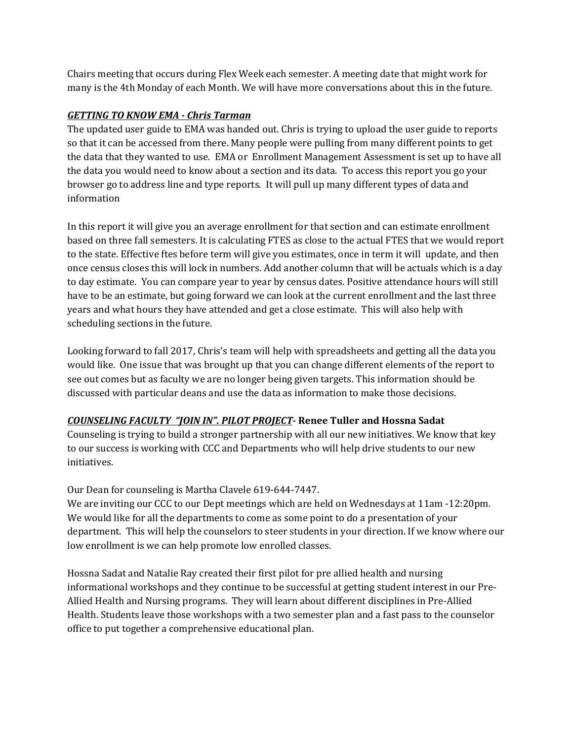Chairs meeting that occurs during Flex Week each semester. A meeting date that might work for many is the 4th Monday of each Month. We will have more conversations about this in the future.

# *GETTING TO KNOW EMA - Chris Tarman*

The updated user guide to EMA was handed out. Chris is trying to upload the user guide to reports so that it can be accessed from there. Many people were pulling from many different points to get the data that they wanted to use. EMA or Enrollment Management Assessment is set up to have all the data you would need to know about a section and its data. To access this report you go your browser go to address line and type reports. It will pull up many different types of data and information

In this report it will give you an average enrollment for that section and can estimate enrollment based on three fall semesters. It is calculating FTES as close to the actual FTES that we would report to the state. Effective ftes before term will give you estimates, once in term it will update, and then once census closes this will lock in numbers. Add another column that will be actuals which is a day to day estimate. You can compare year to year by census dates. Positive attendance hours will still have to be an estimate, but going forward we can look at the current enrollment and the last three years and what hours they have attended and get a close estimate. This will also help with scheduling sections in the future.

Looking forward to fall 2017, Chris's team will help with spreadsheets and getting all the data you would like. One issue that was brought up that you can change different elements of the report to see out comes but as faculty we are no longer being given targets. This information should be discussed with particular deans and use the data as information to make those decisions.

# *COUNSELING FACULTY "JOIN IN". PILOT PROJECT***- Renee Tuller and Hossna Sadat**

Counseling is trying to build a stronger partnership with all our new initiatives. We know that key to our success is working with CCC and Departments who will help drive students to our new initiatives.

## Our Dean for counseling is Martha Clavele 619-644-7447.

We are inviting our CCC to our Dept meetings which are held on Wednesdays at 11am -12:20pm. We would like for all the departments to come as some point to do a presentation of your department. This will help the counselors to steer students in your direction. If we know where our low enrollment is we can help promote low enrolled classes.

Hossna Sadat and Natalie Ray created their first pilot for pre allied health and nursing informational workshops and they continue to be successful at getting student interest in our Pre-Allied Health and Nursing programs. They will learn about different disciplines in Pre-Allied Health. Students leave those workshops with a two semester plan and a fast pass to the counselor office to put together a comprehensive educational plan.